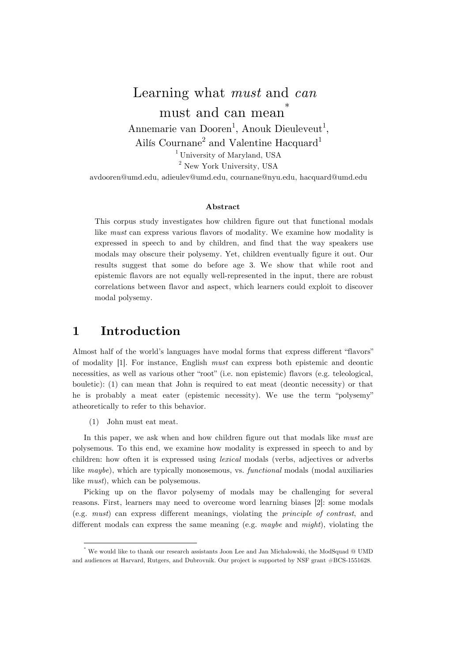# Learning what *must* and *can* must and can mean<sup>†</sup>

Annemarie van Dooren<sup>1</sup>, Anouk Dieuleveut<sup>1</sup>,

Ailís Cournane<sup>2</sup> and Valentine Hacquard<sup>1</sup>

<sup>1</sup> University of Maryland, USA <sup>2</sup> New York University, USA

avdooren@umd.edu, adieulev@umd.edu, cournane@nyu.edu, hacquard@umd.edu

#### **Abstract**

This corpus study investigates how children figure out that functional modals like *must* can express various flavors of modality. We examine how modality is expressed in speech to and by children, and find that the way speakers use modals may obscure their polysemy. Yet, children eventually figure it out. Our results suggest that some do before age 3. We show that while root and epistemic flavors are not equally well-represented in the input, there are robust correlations between flavor and aspect, which learners could exploit to discover modal polysemy.

# **1 Introduction**

Almost half of the world's languages have modal forms that express different "flavors" of modality [1]. For instance, English *must* can express both epistemic and deontic necessities, as well as various other "root" (i.e. non epistemic) flavors (e.g. teleological, bouletic): (1) can mean that John is required to eat meat (deontic necessity) or that he is probably a meat eater (epistemic necessity). We use the term "polysemy" atheoretically to refer to this behavior.

(1) John must eat meat.

 

In this paper, we ask when and how children figure out that modals like *must* are polysemous. To this end, we examine how modality is expressed in speech to and by children: how often it is expressed using *lexical* modals (verbs, adjectives or adverbs like *maybe*), which are typically monosemous, vs. *functional* modals (modal auxiliaries like *must*), which can be polysemous.

Picking up on the flavor polysemy of modals may be challenging for several reasons. First, learners may need to overcome word learning biases [2]: some modals (e.g. *must*) can express different meanings, violating the *principle of contrast*, and different modals can express the same meaning (e.g. *maybe* and *might*), violating the

<sup>\*</sup> We would like to thank our research assistants Joon Lee and Jan Michalowski, the ModSquad @ UMD and audiences at Harvard, Rutgers, and Dubrovnik. Our project is supported by NSF grant #BCS-1551628.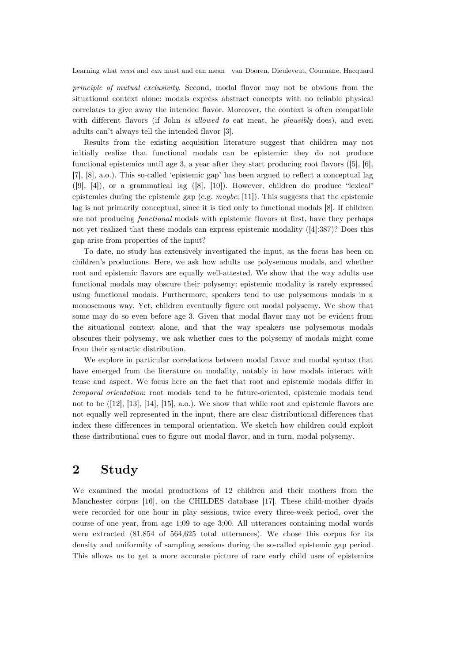*principle of mutual exclusivity*. Second, modal flavor may not be obvious from the situational context alone: modals express abstract concepts with no reliable physical correlates to give away the intended flavor. Moreover, the context is often compatible with different flavors (if John *is allowed to* eat meat, he *plausibly* does), and even adults can't always tell the intended flavor [3].

Results from the existing acquisition literature suggest that children may not initially realize that functional modals can be epistemic: they do not produce functional epistemics until age 3, a year after they start producing root flavors ([5], [6], [7], [8], a.o.). This so-called 'epistemic gap' has been argued to reflect a conceptual lag  $([9], [4])$ , or a grammatical lag  $([8], [10])$ . However, children do produce "lexical" epistemics during the epistemic gap (e.g. *maybe*; [11]). This suggests that the epistemic lag is not primarily conceptual, since it is tied only to functional modals [8]. If children are not producing *functional* modals with epistemic flavors at first, have they perhaps not yet realized that these modals can express epistemic modality ([4]:387)? Does this gap arise from properties of the input?

To date, no study has extensively investigated the input, as the focus has been on children's productions. Here, we ask how adults use polysemous modals, and whether root and epistemic flavors are equally well-attested. We show that the way adults use functional modals may obscure their polysemy: epistemic modality is rarely expressed using functional modals. Furthermore, speakers tend to use polysemous modals in a monosemous way. Yet, children eventually figure out modal polysemy. We show that some may do so even before age 3. Given that modal flavor may not be evident from the situational context alone, and that the way speakers use polysemous modals obscures their polysemy, we ask whether cues to the polysemy of modals might come from their syntactic distribution.

We explore in particular correlations between modal flavor and modal syntax that have emerged from the literature on modality, notably in how modals interact with tense and aspect. We focus here on the fact that root and epistemic modals differ in *temporal orientation*: root modals tend to be future-oriented, epistemic modals tend not to be ([12], [13], [14], [15], a.o.). We show that while root and epistemic flavors are not equally well represented in the input, there are clear distributional differences that index these differences in temporal orientation. We sketch how children could exploit these distributional cues to figure out modal flavor, and in turn, modal polysemy.

# **2 Study**

We examined the modal productions of 12 children and their mothers from the Manchester corpus [16], on the CHILDES database [17]. These child-mother dyads were recorded for one hour in play sessions, twice every three-week period, over the course of one year, from age 1;09 to age 3;00. All utterances containing modal words were extracted (81,854 of 564,625 total utterances). We chose this corpus for its density and uniformity of sampling sessions during the so-called epistemic gap period. This allows us to get a more accurate picture of rare early child uses of epistemics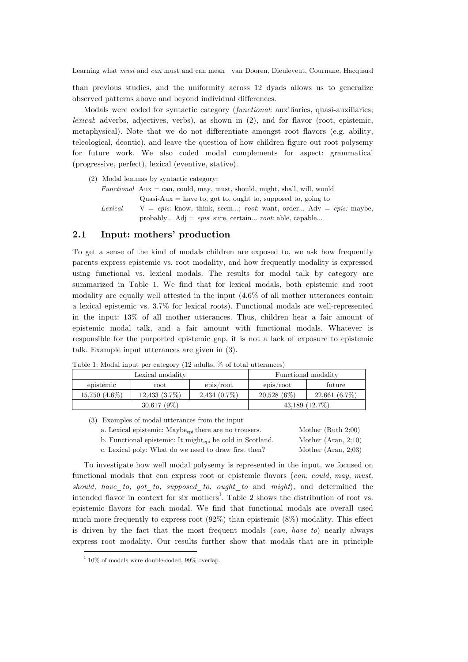than previous studies, and the uniformity across 12 dyads allows us to generalize observed patterns above and beyond individual differences.

Modals were coded for syntactic category (*functional*: auxiliaries, quasi-auxiliaries; *lexical*: adverbs, adjectives, verbs), as shown in (2), and for flavor (root, epistemic, metaphysical). Note that we do not differentiate amongst root flavors (e.g. ability, teleological, deontic), and leave the question of how children figure out root polysemy for future work. We also coded modal complements for aspect: grammatical (progressive, perfect), lexical (eventive, stative).

- (2) Modal lemmas by syntactic category:
	- $Functional$   $Aux \neq can, could, may, must, should, might, shall, will, would$ Quasi-Aux  $=$  have to, got to, ought to, supposed to, going to *Lexical* V = *epis*: know, think, seem…; *root*: want, order… Adv = *epis:* maybe, probably… Adj = *epis*: sure, certain… *root*: able, capable…

#### **2.1 Input: mothers' production**

To get a sense of the kind of modals children are exposed to, we ask how frequently parents express epistemic vs. root modality, and how frequently modality is expressed using functional vs. lexical modals. The results for modal talk by category are summarized in Table 1. We find that for lexical modals, both epistemic and root modality are equally well attested in the input (4.6% of all mother utterances contain a lexical epistemic vs. 3.7% for lexical roots). Functional modals are well-represented in the input: 13% of all mother utterances. Thus, children hear a fair amount of epistemic modal talk, and a fair amount with functional modals. Whatever is responsible for the purported epistemic gap, it is not a lack of exposure to epistemic talk. Example input utterances are given in (3).

|                 | Lexical modality   |                |               | Functional modality |
|-----------------|--------------------|----------------|---------------|---------------------|
| epistemic       | root               | epis/root      | epis/root     | future              |
| $15,750(4.6\%)$ | $12,433$ $(3.7\%)$ | $2,434(0.7\%)$ | $20.528(6\%)$ | $22,661(6.7\%)$     |
|                 | $30,617(9\%)$      |                |               | $43,189$ $(12.7\%)$ |

Table 1: Modal input per category (12 adults, % of total utterances)

(3) Examples of modal utterances from the input

|  |  | a. Lexical epistemic: Maybe <sub>epi</sub> there are no trousers. |  |  |  |  |
|--|--|-------------------------------------------------------------------|--|--|--|--|
|--|--|-------------------------------------------------------------------|--|--|--|--|

b. Functional epistemic: It might<sub>epi</sub> be cold in Scotland. Mother (Aran, 2;10)

Mother (Ruth  $2;00$ )

c. Lexical poly: What do we need to draw first then? Mother (Aran, 2;03)

To investigate how well modal polysemy is represented in the input, we focused on functional modals that can express root or epistemic flavors (*can, could, may, must, should, have\_to, got\_to, supposed\_to, ought*\_*to* and *might*), and determined the intended flavor in context for six mothers<sup>1</sup>. Table 2 shows the distribution of root vs. epistemic flavors for each modal. We find that functional modals are overall used much more frequently to express root (92%) than epistemic (8%) modality. This effect is driven by the fact that the most frequent modals (*can, have to*) nearly always express root modality. Our results further show that modals that are in principle

<u> 1989 - Johann Stein, marwolaethau a bh</u>

 $1\overline{10\%}$  of modals were double-coded, 99% overlap.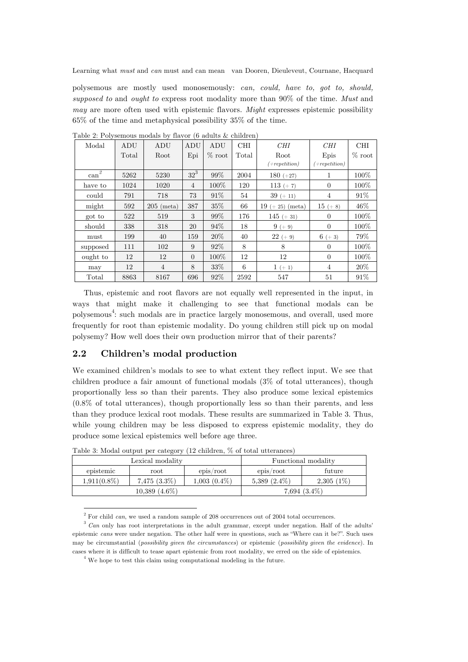polysemous are mostly used monosemously: *can, could, have to, got to, should, supposed to* and *ought to* express root modality more than 90% of the time. *Must* and *may* are more often used with epistemic flavors. *Might* expresses epistemic possibility 65% of the time and metaphysical possibility 35% of the time.

| Modal                  | ADU   | ADU          | ADU            | ADU         | <b>CHI</b> | CHI                | CHI              | <b>CHI</b>  |
|------------------------|-------|--------------|----------------|-------------|------------|--------------------|------------------|-------------|
|                        | Total | Root         | Epi            | $% \; root$ | Total      | Root               | Epis             | $% \; root$ |
|                        |       |              |                |             |            | $(+ repetition)$   | $(+ repetition)$ |             |
| $\operatorname{can}^2$ | 5262  | 5230         | $32^3$         | $99\%$      | 2004       | $180 (+27)$        |                  | 100%        |
| have to                | 1024  | 1020         | $\overline{4}$ | 100\%       | 120        | $113 (+ 7)$        | $\Omega$         | 100\%       |
| could                  | 791   | 718          | 73             | $91\%$      | 54         | $39 (+ 11)$        | $\overline{4}$   | 91%         |
| might                  | 592   | $205$ (meta) | 387            | $35\%$      | 66         | $19 (+ 25)$ (meta) | $15 (+ 8)$       | 46%         |
| got to                 | 522   | 519          | 3              | 99%         | 176        | $145 (+ 31)$       | $\Omega$         | 100\%       |
| should                 | 338   | 318          | 20             | 94%         | 18         | $9 (+ 9)$          | $\Omega$         | 100\%       |
| must                   | 199   | 40           | 159            | $20\%$      | 40         | $22 (+ 9)$         | $6 (+ 3)$        | 79%         |
| supposed               | 111   | 102          | 9              | 92%         | 8          | 8                  | $\Omega$         | 100%        |
| ought to               | 12    | 12           | $\overline{0}$ | 100\%       | 12         | 12                 | $\Omega$         | 100\%       |
| may                    | 12    | 4            | 8              | $33\%$      | 6          | $1 (+ 1)$          | 4                | 20%         |
| Total                  | 8863  | 8167         | 696            | 92%         | 2592       | 547                | 51               | 91%         |

Table 2: Polysemous modals by flavor (6 adults & children)

Thus, epistemic and root flavors are not equally well represented in the input, in ways that might make it challenging to see that functional modals can be polysemous<sup>4</sup>: such modals are in practice largely monosemous, and overall, used more frequently for root than epistemic modality. Do young children still pick up on modal polysemy? How well does their own production mirror that of their parents?

#### **2.2 Children's modal production**

<u> 1989 - Johann Stein, marwolaethau a bh</u>

We examined children's modals to see to what extent they reflect input. We see that children produce a fair amount of functional modals (3% of total utterances), though proportionally less so than their parents. They also produce some lexical epistemics (0.8% of total utterances), though proportionally less so than their parents, and less than they produce lexical root modals. These results are summarized in Table 3. Thus, while young children may be less disposed to express epistemic modality, they do produce some lexical epistemics well before age three.

|                | Lexical modality   |                |                   | Functional modality |
|----------------|--------------------|----------------|-------------------|---------------------|
| epistemic      | root               | epis/root      | epis/root         | future              |
| $1,911(0.8\%)$ | $7,475$ $(3.3\%)$  | $1,003(0.4\%)$ | $5,389$ $(2.4\%)$ | $2,305(1\%)$        |
|                | $10,389$ $(4.6\%)$ |                |                   | $7,694$ $(3.4\%)$   |

Table 3: Modal output per category (12 children, % of total utterances)

 $^{\rm 2}$  For child  $can,$  we used a random sample of 208 occurrences out of 2004 total occurrences.

<sup>&</sup>lt;sup>3</sup> *Can* only has root interpretations in the adult grammar, except under negation. Half of the adults' epistemic *cans* were under negation. The other half were in questions, such as "Where can it be?". Such uses may be circumstantial (*possibility given the circumstances*) or epistemic (*possibility given the evidence*). In cases where it is difficult to tease apart epistemic from root modality, we erred on the side of epistemics.

 $^4$  We hope to test this claim using computational modeling in the future.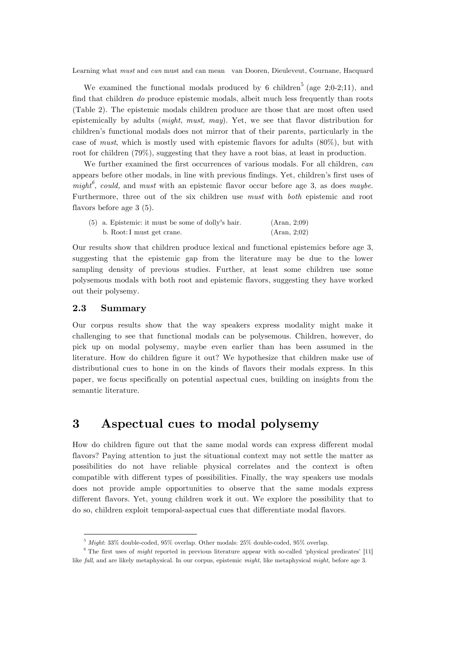We examined the functional modals produced by 6 children<sup>5</sup> (age 2;0-2;11), and find that children *do* produce epistemic modals, albeit much less frequently than roots (Table 2). The epistemic modals children produce are those that are most often used epistemically by adults (*might, must, may*). Yet, we see that flavor distribution for children's functional modals does not mirror that of their parents, particularly in the case of *must*, which is mostly used with epistemic flavors for adults (80%), but with root for children (79%), suggesting that they have a root bias, at least in production.

We further examined the first occurrences of various modals. For all children, *can*  appears before other modals, in line with previous findings. Yet, children's first uses of *might<sup>6</sup> , could,* and *must* with an epistemic flavor occur before age 3, as does *maybe*. Furthermore, three out of the six children use *must* with *both* epistemic and root flavors before age 3 (5).

| $(5)$ a. Epistemic: it must be some of dolly's hair. | (Aran, 2;09) |  |
|------------------------------------------------------|--------------|--|
| b. Root: I must get crane.                           | (Aran, 2;02) |  |

Our results show that children produce lexical and functional epistemics before age 3, suggesting that the epistemic gap from the literature may be due to the lower sampling density of previous studies. Further, at least some children use some polysemous modals with both root and epistemic flavors, suggesting they have worked out their polysemy.

#### **2.3 Summary**

Our corpus results show that the way speakers express modality might make it challenging to see that functional modals can be polysemous. Children, however, do pick up on modal polysemy, maybe even earlier than has been assumed in the literature. How do children figure it out? We hypothesize that children make use of distributional cues to hone in on the kinds of flavors their modals express. In this paper, we focus specifically on potential aspectual cues, building on insights from the semantic literature.

## **3 Aspectual cues to modal polysemy**

How do children figure out that the same modal words can express different modal flavors? Paying attention to just the situational context may not settle the matter as possibilities do not have reliable physical correlates and the context is often compatible with different types of possibilities. Finally, the way speakers use modals does not provide ample opportunities to observe that the same modals express different flavors. Yet, young children work it out. We explore the possibility that to do so, children exploit temporal-aspectual cues that differentiate modal flavors.

<u> 1989 - Johann Stein, marwolaethau a bh</u>

<sup>5</sup> *Might*: 33% double-coded, 95% overlap. Other modals: 25% double-coded, 95% overlap.

<sup>&</sup>lt;sup>6</sup> The first uses of *might* reported in previous literature appear with so-called 'physical predicates' [11] like *fall*, and are likely metaphysical. In our corpus, epistemic *might*, like metaphysical *might*, before age 3.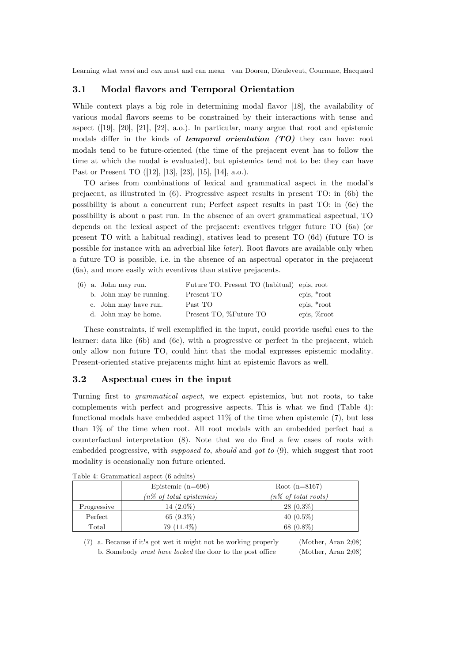#### **3.1 Modal flavors and Temporal Orientation**

While context plays a big role in determining modal flavor [18], the availability of various modal flavors seems to be constrained by their interactions with tense and aspect ([19], [20], [21], [22], a.o.). In particular, many argue that root and epistemic modals differ in the kinds of *temporal orientation (TO)* they can have: root modals tend to be future-oriented (the time of the prejacent event has to follow the time at which the modal is evaluated), but epistemics tend not to be: they can have Past or Present TO ([12], [13], [23], [15], [14], a.o.).

TO arises from combinations of lexical and grammatical aspect in the modal's prejacent, as illustrated in (6). Progressive aspect results in present TO: in (6b) the possibility is about a concurrent run; Perfect aspect results in past TO: in (6c) the possibility is about a past run. In the absence of an overt grammatical aspectual, TO depends on the lexical aspect of the prejacent: eventives trigger future TO (6a) (or present TO with a habitual reading), statives lead to present TO (6d) (future TO is possible for instance with an adverbial like *later*). Root flavors are available only when a future TO is possible, i.e. in the absence of an aspectual operator in the prejacent (6a), and more easily with eventives than stative prejacents.

|  | $(6)$ a. John may run.  | Future TO, Present TO (habitual) epis, root |               |
|--|-------------------------|---------------------------------------------|---------------|
|  | b. John may be running. | Present TO                                  | epis, *root   |
|  | c. John may have run.   | Past TO                                     | epis, *root   |
|  | d. John may be home.    | Present TO, %Future TO                      | epis, \/oroot |

These constraints, if well exemplified in the input, could provide useful cues to the learner: data like (6b) and (6c), with a progressive or perfect in the prejacent, which only allow non future TO, could hint that the modal expresses epistemic modality. Present-oriented stative prejacents might hint at epistemic flavors as well.

#### **3.2 Aspectual cues in the input**

Turning first to *grammatical aspect*, we expect epistemics, but not roots, to take complements with perfect and progressive aspects. This is what we find (Table 4): functional modals have embedded aspect  $11\%$  of the time when epistemic  $(7)$ , but less than 1% of the time when root. All root modals with an embedded perfect had a counterfactual interpretation (8). Note that we do find a few cases of roots with embedded progressive, with *supposed to*, *should* and *got to* (9), which suggest that root modality is occasionally non future oriented.

|             | Epistemic $(n=696)$<br>$(n\% \text{ of total epistemics})$ | Root $(n=8167)$<br>$(n\% \text{ of total roots})$ |
|-------------|------------------------------------------------------------|---------------------------------------------------|
| Progressive | 14 $(2.0\%)$                                               | $28(0.3\%)$                                       |
| Perfect     | 65 $(9.3\%)$                                               | 40 $(0.5\%)$                                      |
| Total       | $79(11.4\%)$                                               | 68 $(0.8\%)$                                      |

|  | Table 4: Grammatical aspect (6 adults) |  |  |  |
|--|----------------------------------------|--|--|--|
|--|----------------------------------------|--|--|--|

(7) a. Because if it's got wet it might not be working properly (Mother, Aran 2;08) b. Somebody *must have locked* the door to the post office (Mother, Aran 2;08)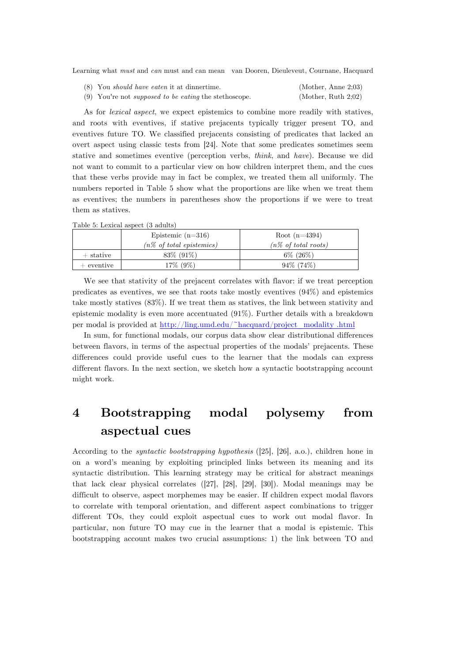| (8) You <i>should have eaten</i> it at dinnertime.           | (Mother, Anne 2;03) |
|--------------------------------------------------------------|---------------------|
| (9) You're not <i>supposed to be eating</i> the stethoscope. | (Mother, Ruth 2;02) |

As for *lexical aspect*, we expect epistemics to combine more readily with statives, and roots with eventives, if stative prejacents typically trigger present TO, and eventives future TO. We classified prejacents consisting of predicates that lacked an overt aspect using classic tests from [24]. Note that some predicates sometimes seem stative and sometimes eventive (perception verbs, *think*, and *have*). Because we did not want to commit to a particular view on how children interpret them, and the cues that these verbs provide may in fact be complex, we treated them all uniformly. The numbers reported in Table 5 show what the proportions are like when we treat them as eventives; the numbers in parentheses show the proportions if we were to treat them as statives.

|  | Table 5: Lexical aspect (3 adults) |  |  |  |  |
|--|------------------------------------|--|--|--|--|
|--|------------------------------------|--|--|--|--|

|              | Epistemic $(n=316)$                 | Root $(n=4394)$                |
|--------------|-------------------------------------|--------------------------------|
|              | $(n\% \text{ of total epistemics})$ | $(n\% \text{ of total roots})$ |
| $+$ stative  | $83\%$ (91\%)                       | $6\%$ (26\%)                   |
| $+$ eventive | $17\%$ (9\%)                        | $94\%$ (74\%)                  |

We see that stativity of the prejacent correlates with flavor: if we treat perception predicates as eventives, we see that roots take mostly eventives (94%) and epistemics take mostly statives (83%). If we treat them as statives, the link between stativity and epistemic modality is even more accentuated (91%). Further details with a breakdown per modal is provided at http://ling.umd.edu/~hacquard/project\_modality .html

In sum, for functional modals, our corpus data show clear distributional differences between flavors, in terms of the aspectual properties of the modals' prejacents. These differences could provide useful cues to the learner that the modals can express different flavors. In the next section, we sketch how a syntactic bootstrapping account might work.

# **4 Bootstrapping modal polysemy from aspectual cues**

According to the *syntactic bootstrapping hypothesis* ([25], [26], a.o.), children hone in on a word's meaning by exploiting principled links between its meaning and its syntactic distribution. This learning strategy may be critical for abstract meanings that lack clear physical correlates ([27], [28], [29], [30]). Modal meanings may be difficult to observe, aspect morphemes may be easier. If children expect modal flavors to correlate with temporal orientation, and different aspect combinations to trigger different TOs, they could exploit aspectual cues to work out modal flavor. In particular, non future TO may cue in the learner that a modal is epistemic. This bootstrapping account makes two crucial assumptions: 1) the link between TO and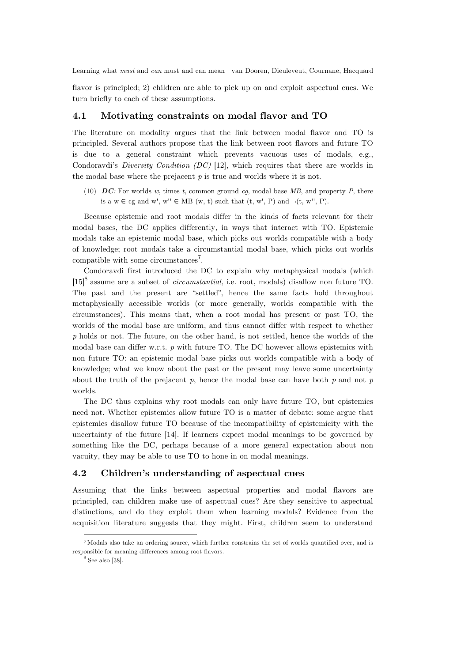flavor is principled; 2) children are able to pick up on and exploit aspectual cues. We turn briefly to each of these assumptions.

#### **4.1 Motivating constraints on modal flavor and TO**

The literature on modality argues that the link between modal flavor and TO is principled. Several authors propose that the link between root flavors and future TO is due to a general constraint which prevents vacuous uses of modals, e.g., Condoravdi's *Diversity Condition (DC)* [12], which requires that there are worlds in the modal base where the prejacent *p* is true and worlds where it is not.

(10) *DC:* For worlds *w*, times *t*, common ground *cg*, modal base *MB*, and property *P*, there is a w  $\in$  cg and w', w''  $\in$  MB (w, t) such that (t, w', P) and  $\neg$  (t, w'', P).

Because epistemic and root modals differ in the kinds of facts relevant for their modal bases, the DC applies differently, in ways that interact with TO. Epistemic modals take an epistemic modal base, which picks out worlds compatible with a body of knowledge; root modals take a circumstantial modal base, which picks out worlds compatible with some circumstances<sup>7</sup>.

Condoravdi first introduced the DC to explain why metaphysical modals (which [15]<sup>8</sup> assume are a subset of *circumstantial*, i.e. root, modals) disallow non future TO. The past and the present are "settled", hence the same facts hold throughout metaphysically accessible worlds (or more generally, worlds compatible with the circumstances). This means that, when a root modal has present or past TO, the worlds of the modal base are uniform, and thus cannot differ with respect to whether *p* holds or not. The future, on the other hand, is not settled, hence the worlds of the modal base can differ w.r.t. *p* with future TO. The DC however allows epistemics with non future TO: an epistemic modal base picks out worlds compatible with a body of knowledge; what we know about the past or the present may leave some uncertainty about the truth of the prejacent *p*, hence the modal base can have both *p* and not *p*  worlds.

The DC thus explains why root modals can only have future TO, but epistemics need not. Whether epistemics allow future TO is a matter of debate: some argue that epistemics disallow future TO because of the incompatibility of epistemicity with the uncertainty of the future [14]. If learners expect modal meanings to be governed by something like the DC, perhaps because of a more general expectation about non vacuity, they may be able to use TO to hone in on modal meanings.

#### **4.2 Children's understanding of aspectual cues**

Assuming that the links between aspectual properties and modal flavors are principled, can children make use of aspectual cues? Are they sensitive to aspectual distinctions, and do they exploit them when learning modals? Evidence from the acquisition literature suggests that they might. First, children seem to understand

<u> 1989 - Johann Stein, marwolaethau a bh</u>

<sup>7</sup> Modals also take an ordering source, which further constrains the set of worlds quantified over, and is responsible for meaning differences among root flavors.

 $8$  See also [38].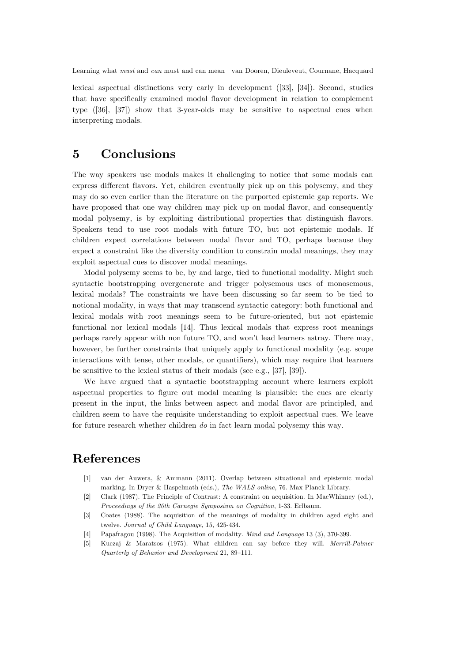lexical aspectual distinctions very early in development ([33], [34]). Second, studies that have specifically examined modal flavor development in relation to complement type ([36], [37]) show that 3-year-olds may be sensitive to aspectual cues when interpreting modals.

# **5 Conclusions**

The way speakers use modals makes it challenging to notice that some modals can express different flavors. Yet, children eventually pick up on this polysemy, and they may do so even earlier than the literature on the purported epistemic gap reports. We have proposed that one way children may pick up on modal flavor, and consequently modal polysemy, is by exploiting distributional properties that distinguish flavors. Speakers tend to use root modals with future TO, but not epistemic modals. If children expect correlations between modal flavor and TO, perhaps because they expect a constraint like the diversity condition to constrain modal meanings, they may exploit aspectual cues to discover modal meanings.

Modal polysemy seems to be, by and large, tied to functional modality. Might such syntactic bootstrapping overgenerate and trigger polysemous uses of monosemous, lexical modals? The constraints we have been discussing so far seem to be tied to notional modality, in ways that may transcend syntactic category: both functional and lexical modals with root meanings seem to be future-oriented, but not epistemic functional nor lexical modals [14]. Thus lexical modals that express root meanings perhaps rarely appear with non future TO, and won't lead learners astray. There may, however, be further constraints that uniquely apply to functional modality (e.g. scope interactions with tense, other modals, or quantifiers), which may require that learners be sensitive to the lexical status of their modals (see e.g., [37], [39]).

We have argued that a syntactic bootstrapping account where learners exploit aspectual properties to figure out modal meaning is plausible: the cues are clearly present in the input, the links between aspect and modal flavor are principled, and children seem to have the requisite understanding to exploit aspectual cues. We leave for future research whether children *do* in fact learn modal polysemy this way.

# **References**

- [1] van der Auwera, & Ammann (2011). Overlap between situational and epistemic modal marking. In Dryer & Haspelmath (eds.), *The WALS online,* 76. Max Planck Library.
- [2] Clark (1987). The Principle of Contrast: A constraint on acquisition. In MacWhinney (ed.), *Proceedings of the 20th Carnegie Symposium on Cognition*, 1-33. Erlbaum.
- [3] Coates (1988). The acquisition of the meanings of modality in children aged eight and twelve. *Journal of Child Language,* 15, 425-434.
- [4] Papafragou (1998). The Acquisition of modality. *Mind and Language* 13 (3), 370-399.
- [5] Kuczaj & Maratsos (1975). What children can say before they will. *Merrill-Palmer Quarterly of Behavior and Development* 21, 89–111.